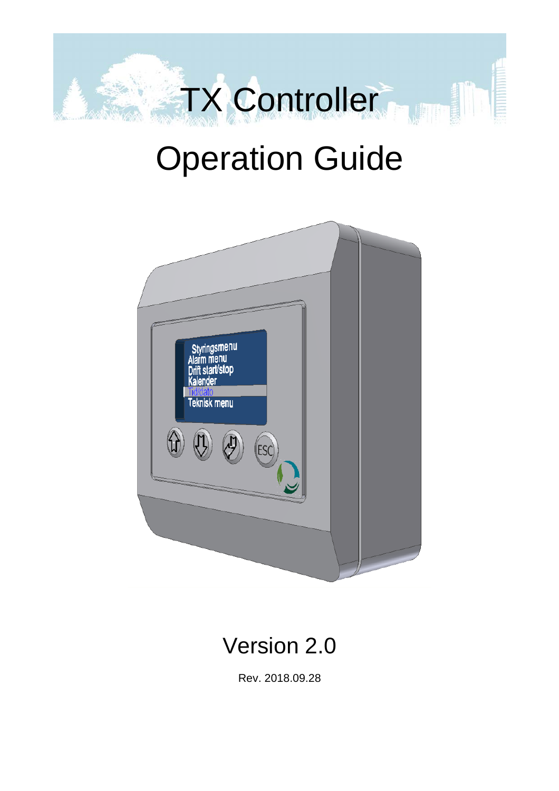

# Operation Guide



# Version 2.0

Rev. 2018.09.28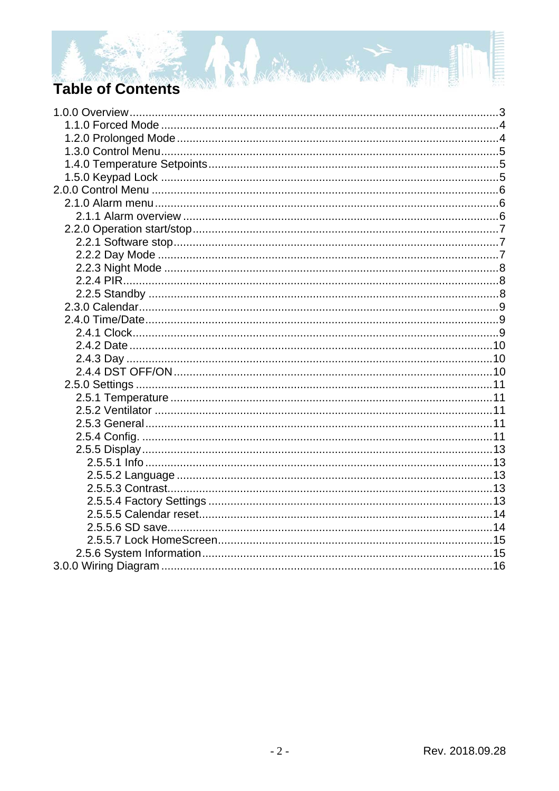# **Table of Contents**

**A.** 

Battlemachen Strang Julius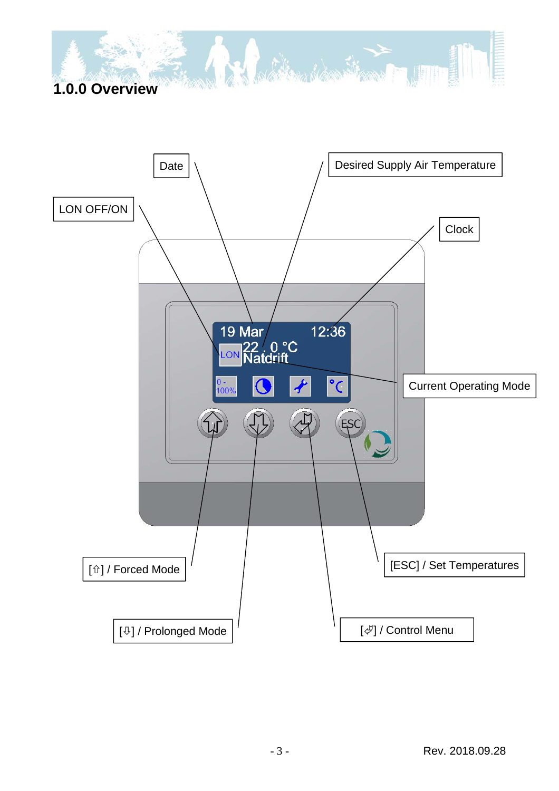# **1.0.0 Overview**



And the second second second second second second second second second second second second second second second second second second second second second second second second second second second second second second seco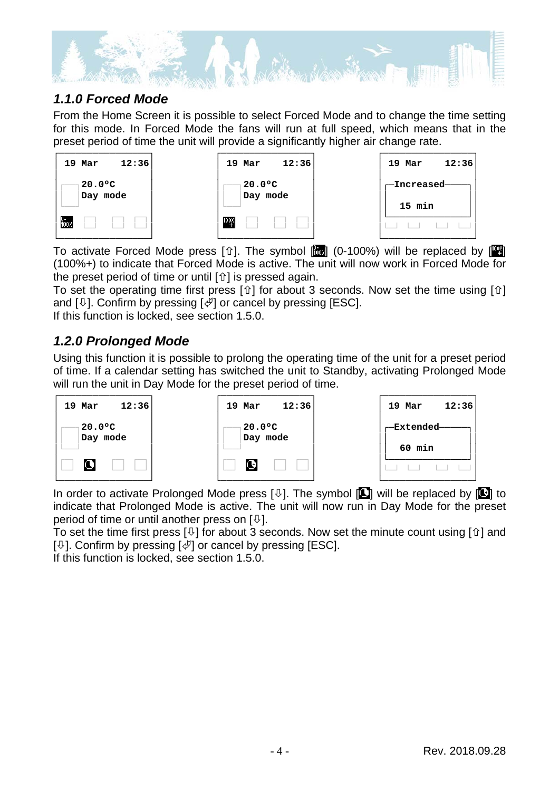

#### *1.1.0 Forced Mode*

From the Home Screen it is possible to select Forced Mode and to change the time setting for this mode. In Forced Mode the fans will run at full speed, which means that in the preset period of time the unit will provide a significantly higher air change rate.

| 19 Mar                       | 12:36 |
|------------------------------|-------|
| $20.0^{\circ}$ C<br>Day mode |       |
|                              |       |

| 19 Mar                       | 12:36 |
|------------------------------|-------|
| $20.0^{\circ}$ C<br>Day mode |       |
|                              |       |



To activate Forced Mode press [ $\hat{u}$ ]. The symbol  $\begin{bmatrix} \frac{1}{2} \\ 0 \end{bmatrix}$  (0-100%) will be replaced by  $\begin{bmatrix} \frac{1}{2} \\ 0 \end{bmatrix}$ (100%+) to indicate that Forced Mode is active. The unit will now work in Forced Mode for the preset period of time or until  $[\hat{u}]$  is pressed again.

To set the operating time first press  $[\hat{u}]$  for about 3 seconds. Now set the time using  $[\hat{u}]$ and  $[\sqrt[1]{\cdot}$ . Confirm by pressing  $[\sqrt[2]{\cdot}]$  or cancel by pressing [ESC].

If this function is locked, see section 1.5.0.

#### *1.2.0 Prolonged Mode*

Using this function it is possible to prolong the operating time of the unit for a preset period of time. If a calendar setting has switched the unit to Standby, activating Prolonged Mode will run the unit in Day Mode for the preset period of time.



In order to activate Prolonged Mode press  $[\,\&\,]$ . The symbol  $[\Box]$  will be replaced by  $[\Box]$  to indicate that Prolonged Mode is active. The unit will now run in Day Mode for the preset period of time or until another press on  $[\sqrt[1]{2}]$ .

To set the time first press [ $\downarrow$ ] for about 3 seconds. Now set the minute count using [ $\Upsilon$ ] and  $[\mathcal{V}]$ . Confirm by pressing  $[\mathcal{V}]$  or cancel by pressing [ESC].

If this function is locked, see section 1.5.0.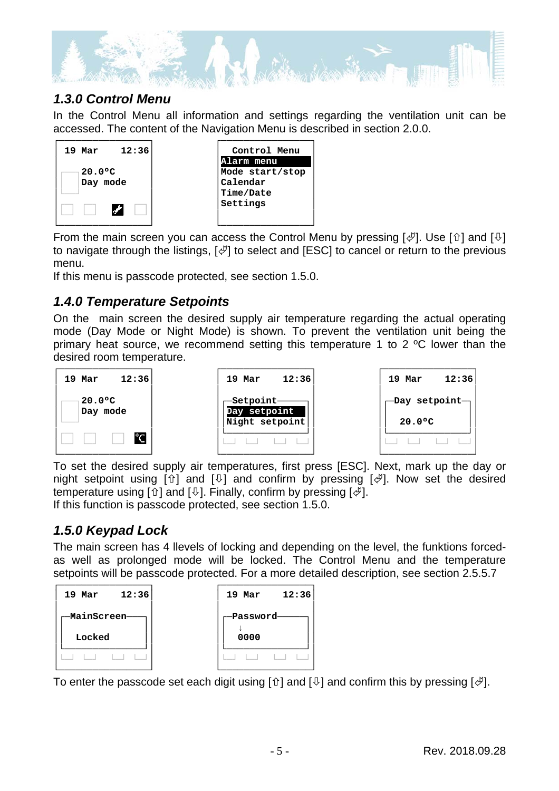

#### *1.3.0 Control Menu*

In the Control Menu all information and settings regarding the ventilation unit can be accessed. The content of the Navigation Menu is described in section 2.0.0.



From the main screen you can access the Control Menu by pressing  $[\mathcal{F}]$ . Use  $[\hat{u}]$  and  $[\mathcal{V}]$ to navigate through the listings,  $[\mathcal{A}]$  to select and [ESC] to cancel or return to the previous menu.

If this menu is passcode protected, see section 1.5.0.

#### *1.4.0 Temperature Setpoints*

On the main screen the desired supply air temperature regarding the actual operating mode (Day Mode or Night Mode) is shown. To prevent the ventilation unit being the primary heat source, we recommend setting this temperature 1 to 2 ºC lower than the desired room temperature.



To set the desired supply air temperatures, first press [ESC]. Next, mark up the day or night setpoint using  $[\hat{v}]$  and  $[\hat{\psi}]$  and confirm by pressing  $[\hat{\psi}]$ . Now set the desired temperature using  $[\hat{v}]$  and  $[\hat{\psi}]$ . Finally, confirm by pressing  $[\hat{\psi}]$ . If this function is passcode protected, see section 1.5.0.

#### *1.5.0 Keypad Lock*

The main screen has 4 llevels of locking and depending on the level, the funktions forcedas well as prolonged mode will be locked. The Control Menu and the temperature setpoints will be passcode protected. For a more detailed description, see section 2.5.5.7



To enter the passcode set each digit using  $[\hat{u}]$  and  $[\hat{v}]$  and confirm this by pressing  $[\hat{\phi}]$ .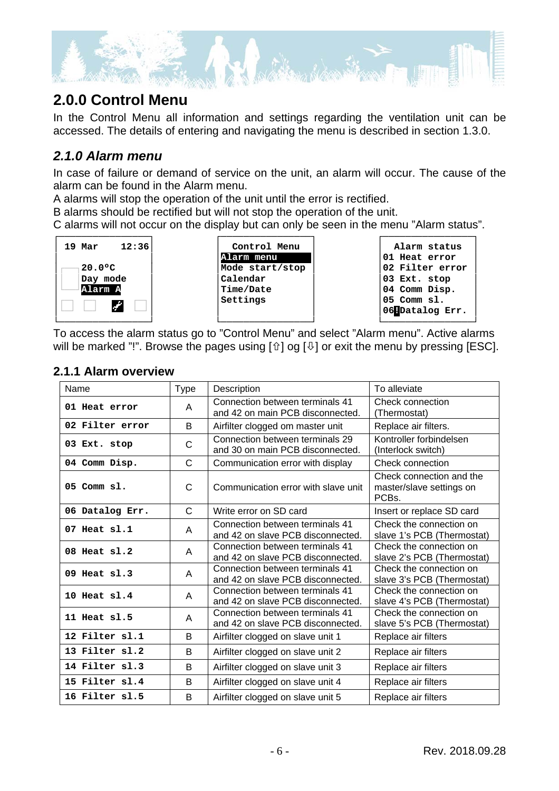

## **2.0.0 Control Menu**

In the Control Menu all information and settings regarding the ventilation unit can be accessed. The details of entering and navigating the menu is described in section 1.3.0.

#### *2.1.0 Alarm menu*

In case of failure or demand of service on the unit, an alarm will occur. The cause of the alarm can be found in the Alarm menu.

A alarms will stop the operation of the unit until the error is rectified.

B alarms should be rectified but will not stop the operation of the unit.

C alarms will not occur on the display but can only be seen in the menu "Alarm status".



| Control Menu    |
|-----------------|
| Alarm menu      |
| Mode start/stop |
| Calendar        |
| Time/Date       |
| Settings        |
|                 |

| Alarm status    |
|-----------------|
| 01 Heat error   |
| 02 Filter error |
| 03 Ext. stop    |
| 04 Comm Disp.   |
| 05 Comm sl.     |
| 06 Datalog Err. |
|                 |

└────────────────┘ To access the alarm status go to "Control Menu" and select "Alarm menu". Active alarms will be marked "!". Browse the pages using  $[\hat{u}]$  og  $[\hat{\psi}]$  or exit the menu by pressing [ESC].

#### **2.1.1 Alarm overview**

| Name             | <b>Type</b>  | Description                                                          | To alleviate                                                               |
|------------------|--------------|----------------------------------------------------------------------|----------------------------------------------------------------------------|
| 01 Heat error    | A            | Connection between terminals 41<br>and 42 on main PCB disconnected.  | <b>Check connection</b><br>(Thermostat)                                    |
| 02 Filter error  | B            | Airfilter clogged om master unit                                     | Replace air filters.                                                       |
| 03 Ext. stop     | C            | Connection between terminals 29<br>and 30 on main PCB disconnected.  | Kontroller forbindelsen<br>(Interlock switch)                              |
| 04 Comm Disp.    | $\mathsf{C}$ | Communication error with display                                     | Check connection                                                           |
| $05$ Comm $s1$ . | C            | Communication error with slave unit                                  | Check connection and the<br>master/slave settings on<br>PCB <sub>s</sub> . |
| 06 Datalog Err.  | $\mathsf{C}$ | Write error on SD card                                               | Insert or replace SD card                                                  |
| $07$ Heat $s1.1$ | A            | Connection between terminals 41<br>and 42 on slave PCB disconnected. | Check the connection on<br>slave 1's PCB (Thermostat)                      |
| 08 Heat sl.2     | A            | Connection between terminals 41<br>and 42 on slave PCB disconnected. | Check the connection on<br>slave 2's PCB (Thermostat)                      |
| $09$ Heat $s1.3$ | A            | Connection between terminals 41<br>and 42 on slave PCB disconnected. | Check the connection on<br>slave 3's PCB (Thermostat)                      |
| 10 Heat $sl.4$   | A            | Connection between terminals 41<br>and 42 on slave PCB disconnected. | Check the connection on<br>slave 4's PCB (Thermostat)                      |
| 11 Heat sl.5     | A            | Connection between terminals 41<br>and 42 on slave PCB disconnected. | Check the connection on<br>slave 5's PCB (Thermostat)                      |
| 12 Filter sl.1   | B            | Airfilter clogged on slave unit 1                                    | Replace air filters                                                        |
| 13 Filter sl.2   | B            | Airfilter clogged on slave unit 2                                    | Replace air filters                                                        |
| 14 Filter sl.3   | B            | Airfilter clogged on slave unit 3                                    | Replace air filters                                                        |
| 15 Filter sl.4   | B            | Airfilter clogged on slave unit 4                                    | Replace air filters                                                        |
| 16 Filter sl.5   | B            | Airfilter clogged on slave unit 5                                    | Replace air filters                                                        |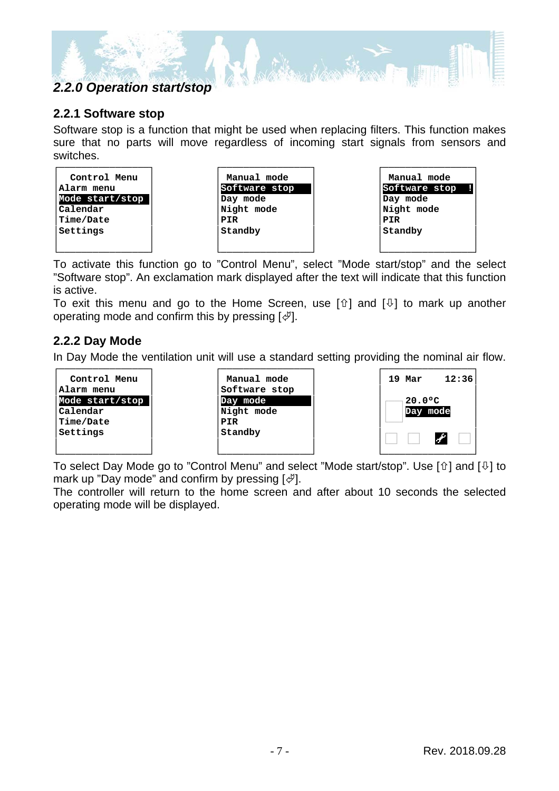## *2.2.0 Operation start/stop*

#### **2.2.1 Software stop**

Software stop is a function that might be used when replacing filters. This function makes sure that no parts will move regardless of incoming start signals from sensors and switches.



To activate this function go to "Control Menu", select "Mode start/stop" and the select "Software stop". An exclamation mark displayed after the text will indicate that this function is active.

To exit this menu and go to the Home Screen, use  $[\hat{u}]$  and  $[\hat{\psi}]$  to mark up another operating mode and confirm this by pressing  $[\mathcal{A}].$ 

#### **2.2.2 Day Mode**

In Day Mode the ventilation unit will use a standard setting providing the nominal air flow.



To select Day Mode go to "Control Menu" and select "Mode start/stop". Use  $[\hat{u}]$  and  $[\theta]$  to mark up "Day mode" and confirm by pressing  $[\mathcal{A}].$ 

The controller will return to the home screen and after about 10 seconds the selected operating mode will be displayed.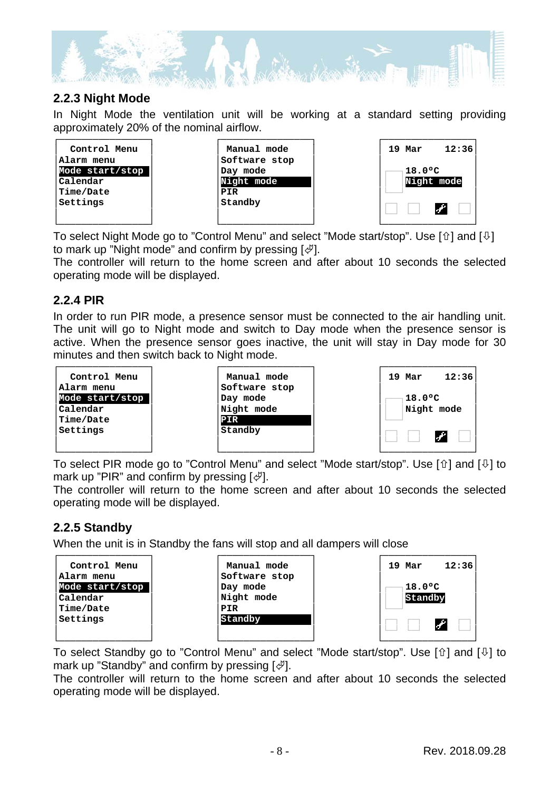

#### **2.2.3 Night Mode**

In Night Mode the ventilation unit will be working at a standard setting providing approximately 20% of the nominal airflow.



To select Night Mode go to "Control Menu" and select "Mode start/stop". Use  $\lceil \hat{u} \rceil$  and  $\lceil \frac{1}{2} \rceil$ to mark up "Night mode" and confirm by pressing  $\lbrack \psi \rbrack$ .

The controller will return to the home screen and after about 10 seconds the selected operating mode will be displayed.

#### **2.2.4 PIR**

In order to run PIR mode, a presence sensor must be connected to the air handling unit. The unit will go to Night mode and switch to Day mode when the presence sensor is active. When the presence sensor goes inactive, the unit will stay in Day mode for 30 minutes and then switch back to Night mode.



To select PIR mode go to "Control Menu" and select "Mode start/stop". Use  $[\hat{u}]$  and  $[\theta]$  to mark up "PIR" and confirm by pressing  $[\mathcal{A}].$ 

The controller will return to the home screen and after about 10 seconds the selected operating mode will be displayed.

#### **2.2.5 Standby**

When the unit is in Standby the fans will stop and all dampers will close



To select Standby go to "Control Menu" and select "Mode start/stop". Use [ $\hat{u}$ ] and [ $\hat{v}$ ] to mark up "Standby" and confirm by pressing  $\lbrack \psi \rbrack$ .

The controller will return to the home screen and after about 10 seconds the selected operating mode will be displayed.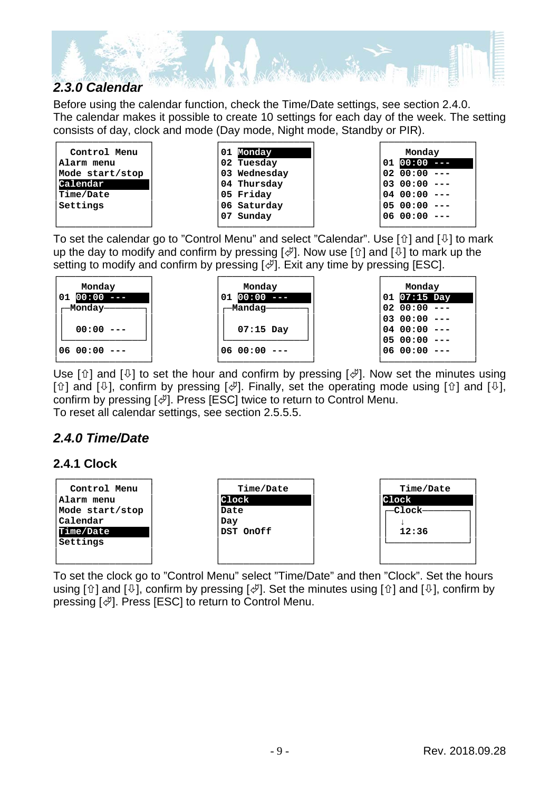

Before using the calendar function, check the Time/Date settings, see section 2.4.0. The calendar makes it possible to create 10 settings for each day of the week. The setting consists of day, clock and mode (Day mode, Night mode, Standby or PIR).

| Monday |          |  |
|--------|----------|--|
|        | 01 00:00 |  |
|        | 02 00:00 |  |
|        | 03 00:00 |  |
|        | 04 00:00 |  |
|        | 05 00:00 |  |
|        | 06 00:00 |  |
|        |          |  |

To set the calendar go to "Control Menu" and select "Calendar". Use  $\lceil \hat{u} \rceil$  and  $\lceil \frac{1}{\psi} \rceil$  to mark up the day to modify and confirm by pressing  $[\mathcal{A}]$ . Now use  $[\hat{u}]$  and  $[\hat{v}]$  to mark up the setting to modify and confirm by pressing  $[\mathcal{A}]$ . Exit any time by pressing [ESC].

| Monday              | Monday            |        | MC              |
|---------------------|-------------------|--------|-----------------|
| $00:00$ ---<br>  01 | $00:00$ ---<br>01 | 01     | 07 <sub>5</sub> |
| —Monday——           | -Mandag—          | 02 00: |                 |
|                     |                   | 03 00: |                 |
| 00:00               | $07:15$ Day       | 04 00: |                 |
|                     |                   | 05 00: |                 |
| $ 0600:00---$       | $0600:00--$       | 06 00: |                 |
|                     |                   |        |                 |

| Monday |             |  |
|--------|-------------|--|
| 01     | $07:15$ Day |  |
|        | 02 00:00    |  |
|        | 0300:00     |  |
|        | 04 00:00    |  |
|        | 05 00:00    |  |
|        | 06 00:00    |  |
|        |             |  |

Use  $[\hat{u}]$  and  $[\hat{\psi}]$  to set the hour and confirm by pressing  $[\hat{\psi}]$ . Now set the minutes using [ $\hat{U}$ ] and [ $\hat{U}$ ], confirm by pressing [ $\hat{\varphi}$ ]. Finally, set the operating mode using [ $\hat{U}$ ] and [ $\hat{U}$ ], confirm by pressing  $[\mathcal{A}]$ . Press [ESC] twice to return to Control Menu. To reset all calendar settings, see section 2.5.5.5.

#### *2.4.0 Time/Date*

#### **2.4.1 Clock**



To set the clock go to "Control Menu" select "Time/Date" and then "Clock". Set the hours using  $[\hat{v}]$  and  $[\hat{\psi}]$ , confirm by pressing  $[\hat{\psi}]$ . Set the minutes using  $[\hat{v}]$  and  $[\hat{\psi}]$ , confirm by pressing  $[\mathcal{A}]$ . Press [ESC] to return to Control Menu.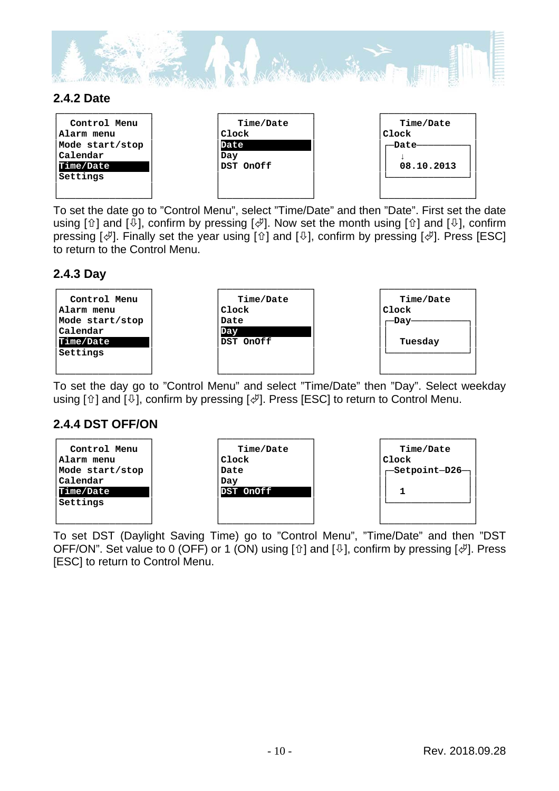

#### **2.4.2 Date**

| Control Menu<br>Alarm menu<br>Mode start/stop<br>Calendar<br>Time/Date<br>Settings | Time/Date<br>Clock<br>Date<br>Day<br>DST OnOff | Time/Date<br>Clock<br>-Date-<br>08.10.2013 |
|------------------------------------------------------------------------------------|------------------------------------------------|--------------------------------------------|
|                                                                                    |                                                |                                            |

To set the date go to "Control Menu", select "Time/Date" and then "Date". First set the date using  $[\hat{v}]$  and  $[\hat{\psi}]$ , confirm by pressing  $[\hat{\psi}]$ . Now set the month using  $[\hat{v}]$  and  $[\hat{\psi}]$ , confirm pressing  $[\mathcal{A}]$ . Finally set the year using  $[\mathcal{A}]$  and  $[\mathcal{A}]$ , confirm by pressing  $[\mathcal{A}]$ . Press [ESC] to return to the Control Menu.

#### **2.4.3 Day**



To set the day go to "Control Menu" and select "Time/Date" then "Day". Select weekday using  $[\hat{v}]$  and  $[\hat{\psi}]$ , confirm by pressing  $[\hat{\psi}]$ . Press [ESC] to return to Control Menu.

#### **2.4.4 DST OFF/ON**



To set DST (Daylight Saving Time) go to "Control Menu", "Time/Date" and then "DST OFF/ON". Set value to 0 (OFF) or 1 (ON) using  $[\hat{u}]$  and  $[\hat{v}]$ , confirm by pressing  $[\hat{\phi}]$ . Press [ESC] to return to Control Menu.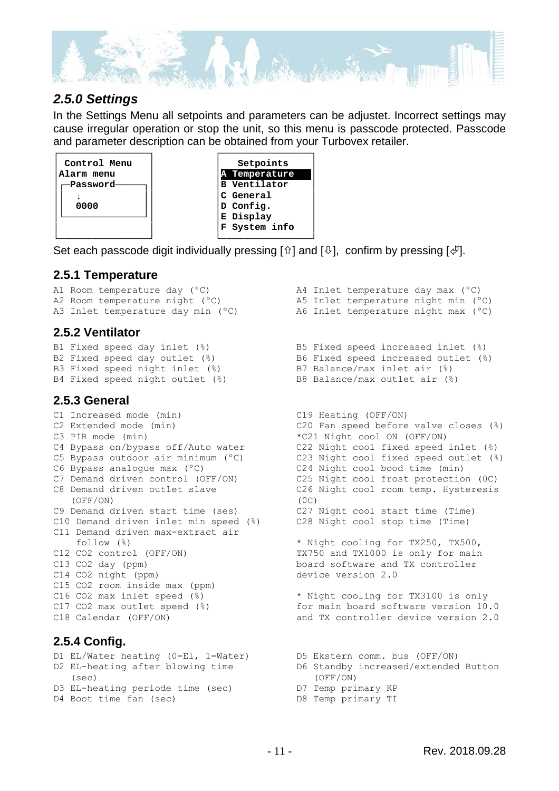

#### *2.5.0 Settings*

In the Settings Menu all setpoints and parameters can be adjustet. Incorrect settings may cause irregular operation or stop the unit, so this menu is passcode protected. Passcode and parameter description can be obtained from your Turbovex retailer.



Set each passcode digit individually pressing [ $\hat{u}$ ] and [ $\hat{v}$ ], confirm by pressing [ $\hat{\varphi}$ ].

#### **2.5.1 Temperature**

A1 Room temperature day (ºC) A2 Room temperature night  $(^{\circ}C)$ A3 Inlet temperature day min (ºC)

#### **2.5.2 Ventilator**

B1 Fixed speed day inlet (%) B2 Fixed speed day outlet (%)  $B3$  Fixed speed night inlet  $(\%)$ B4 Fixed speed night outlet (%)

#### **2.5.3 General**

C1 Increased mode (min) C2 Extended mode (min) C3 PIR mode (min) C4 Bypass on/bypass off/Auto water C5 Bypass outdoor air minimum (ºC) C6 Bypass analogue max (ºC) C7 Demand driven control (OFF/ON) C8 Demand driven outlet slave (OFF/ON) C9 Demand driven start time (ses) C10 Demand driven inlet min speed (%) C11 Demand driven max-extract air follow (%) C12 CO2 control (OFF/ON) C13 CO2 day (ppm) C14 CO2 night (ppm) C15 CO2 room inside max (ppm) C16 CO2 max inlet speed (%) C17 CO2 max outlet speed (%) C18 Calendar (OFF/ON)

#### **2.5.4 Config.**

D1 EL/Water heating (0=El, 1=Water) D2 EL-heating after blowing time (sec) D3 EL-heating periode time (sec) D4 Boot time fan (sec)

- A4 Inlet temperature day max (ºC) A5 Inlet temperature night min (ºC) A6 Inlet temperature night max (ºC) B5 Fixed speed increased inlet (%)
	- B6 Fixed speed increased outlet (%) B7 Balance/max inlet air (%) B8 Balance/max outlet air (%)
	- C19 Heating (OFF/ON) C20 Fan speed before valve closes (%) \*C21 Night cool ON (OFF/ON) C22 Night cool fixed speed inlet (%) C23 Night cool fixed speed outlet (%) C24 Night cool bood time (min) C25 Night cool frost protection (0C) C26 Night cool room temp. Hysteresis (0C) C27 Night cool start time (Time)
		- C28 Night cool stop time (Time)

\* Night cooling for TX250, TX500, TX750 and TX1000 is only for main board software and TX controller device version 2.0

\* Night cooling for TX3100 is only for main board software version 10.0 and TX controller device version 2.0

- D5 Ekstern comm. bus (OFF/ON)
	- D6 Standby increased/extended Button (OFF/ON)
- D7 Temp primary KP
- D8 Temp primary TI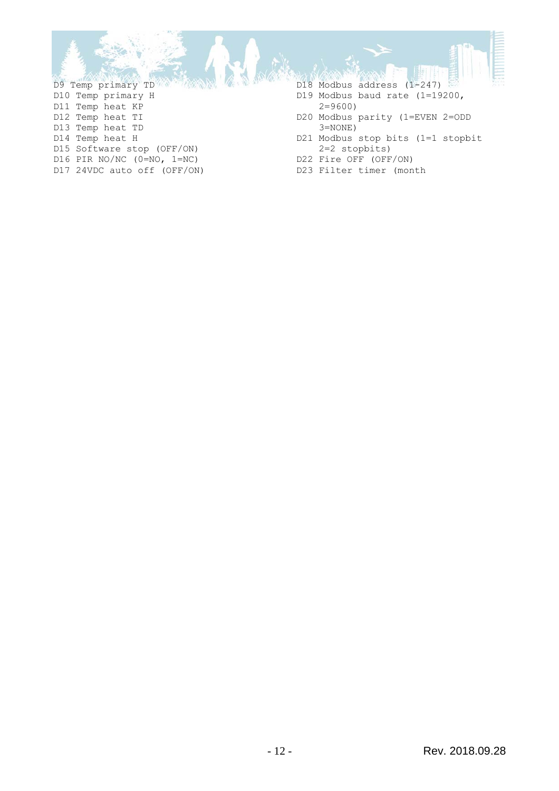D9 Temp primary TD D10 Temp primary H D11 Temp heat KP D12 Temp heat TI D13 Temp heat TD D14 Temp heat H D15 Software stop (OFF/ON) D16 PIR NO/NC (0=NO, 1=NC) D17 24VDC auto off (OFF/ON)

- D18 Modbus address (1-247)
- D19 Modbus baud rate (1=19200, 2=9600)
- D20 Modbus parity (1=EVEN 2=ODD 3=NONE)
- D21 Modbus stop bits (1=1 stopbit 2=2 stopbits)
- D22 Fire OFF (OFF/ON)
- D23 Filter timer (month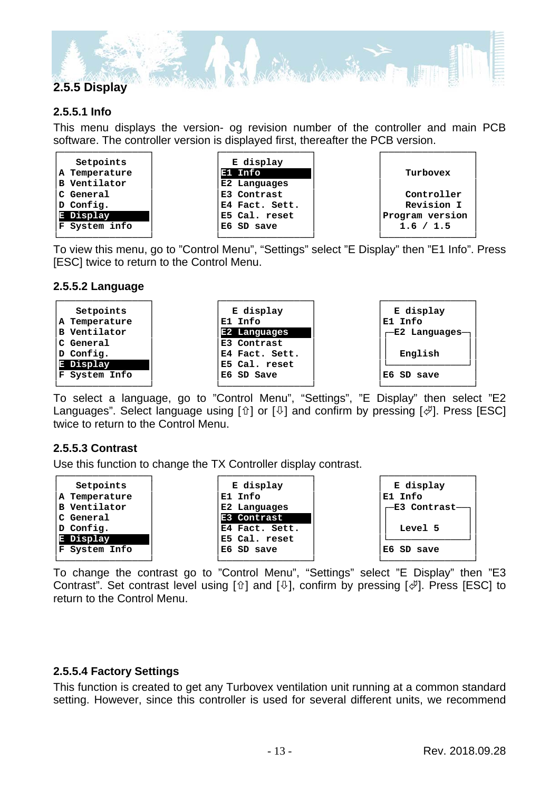

#### **2.5.5.1 Info**

This menu displays the version- og revision number of the controller and main PCB software. The controller version is displayed first, thereafter the PCB version.

| Setpoints           | E display      |                 |
|---------------------|----------------|-----------------|
| A Temperature       | E1 Info        | Turbovex        |
| <b>B</b> Ventilator | E2 Languages   |                 |
| C General           | E3 Contrast    | Controller      |
| D Config.           | E4 Fact. Sett. | Revision I      |
| E Display           | E5 Cal. reset  | Program version |
| F System info       | E6 SD save     | 1.6 / 1.5       |
|                     |                |                 |

To view this menu, go to "Control Menu", "Settings" select "E Display" then "E1 Info". Press [ESC] twice to return to the Control Menu.

#### **2.5.5.2 Language**



To select a language, go to "Control Menu", "Settings", "E Display" then select "E2 Languages". Select language using  $[\hat{v}]$  or  $[\hat{\psi}]$  and confirm by pressing  $[\hat{\psi}]$ . Press [ESC] twice to return to the Control Menu.

#### **2.5.5.3 Contrast**

Use this function to change the TX Controller display contrast.



To change the contrast go to "Control Menu", "Settings" select "E Display" then "E3 Contrast". Set contrast level using  $[\hat{u}]$  and  $[\hat{v}]$ , confirm by pressing  $[\hat{\phi}]$ . Press [ESC] to return to the Control Menu.

#### **2.5.5.4 Factory Settings**

This function is created to get any Turbovex ventilation unit running at a common standard setting. However, since this controller is used for several different units, we recommend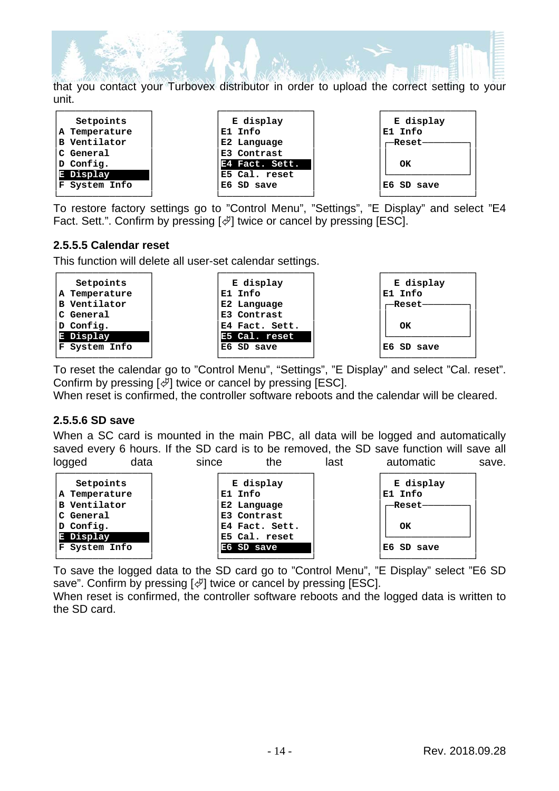

that you contact your Turbovex distributor in order to upload the correct setting to your unit.

| Setpoints           | E display      | E display  |
|---------------------|----------------|------------|
| A Temperature       | E1 Info        | E1 Info    |
| <b>B</b> Ventilator | E2 Language    | —Reset—    |
| C General           | E3 Contrast    |            |
| D Config.           | E4 Fact. Sett. | OК         |
| E Display           | E5 Cal. reset  |            |
| F System Info       | E6 SD save     | E6 SD save |
|                     |                |            |

To restore factory settings go to "Control Menu", "Settings", "E Display" and select "E4 Fact. Sett.". Confirm by pressing  $\left[\frac{1}{2}\right]$  twice or cancel by pressing [ESC].

#### **2.5.5.5 Calendar reset**

This function will delete all user-set calendar settings.

| Setpoints<br>A Temperature<br>B Ventilator<br>C General | E display<br>E1 Info<br>E2 Language<br>E3 Contrast | E display<br>E1 Info<br>--Reset- |
|---------------------------------------------------------|----------------------------------------------------|----------------------------------|
| D Config.                                               | E4 Fact. Sett.                                     | OK                               |
| E Display<br>F System Info                              | E5 Cal. reset<br>E6 SD save                        | E6 SD save                       |

└────────────────┘ └────────────────┘ └────────────────┘ To reset the calendar go to "Control Menu", "Settings", "E Display" and select "Cal. reset". Confirm by pressing  $[\mathcal{A}]$  twice or cancel by pressing [ESC].

When reset is confirmed, the controller software reboots and the calendar will be cleared.

#### **2.5.5.6 SD save**

When a SC card is mounted in the main PBC, all data will be logged and automatically saved every 6 hours. If the SD card is to be removed, the SD save function will save all logged data since the last automatic save.

| Setpoints     | E display      | E display  |
|---------------|----------------|------------|
| A Temperature | E1 Info        | E1 Info    |
| B Ventilator  | E2 Language    | —Reset-    |
| C General     | E3 Contrast    |            |
| $D$ Config.   | E4 Fact. Sett. | OК         |
| E Display     | E5 Cal. reset  |            |
| F System Info | E6 SD save     | E6 SD save |
|               |                |            |

To save the logged data to the SD card go to "Control Menu", "E Display" select "E6 SD save". Confirm by pressing  $[\&]$  twice or cancel by pressing [ESC].

When reset is confirmed, the controller software reboots and the logged data is written to the SD card.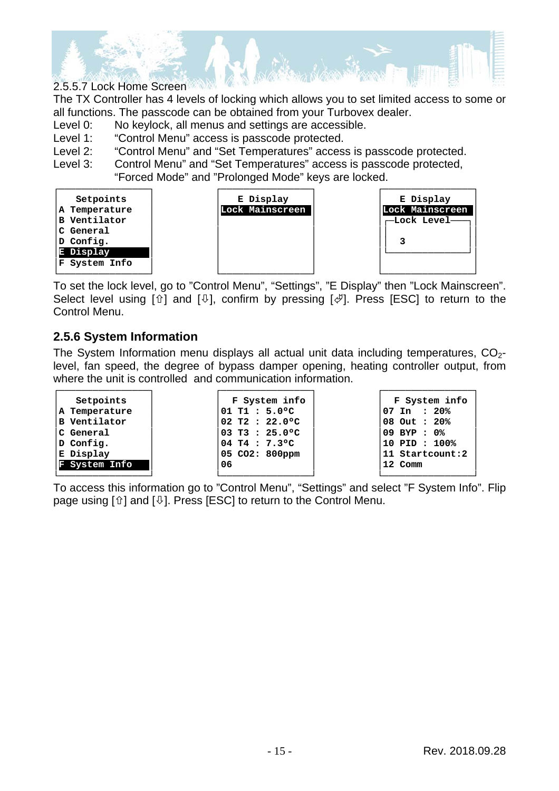

The TX Controller has 4 levels of locking which allows you to set limited access to some or all functions. The passcode can be obtained from your Turbovex dealer.

Level 0: No keylock, all menus and settings are accessible.

- Level 1: "Control Menu" access is passcode protected.
- Level 2: "Control Menu" and "Set Temperatures" access is passcode protected.
- Level 3: Control Menu" and "Set Temperatures" access is passcode protected, "Forced Mode" and "Prolonged Mode" keys are locked.



To set the lock level, go to "Control Menu", "Settings", "E Display" then "Lock Mainscreen". Select level using  $[\hat{u}]$  and  $[\hat{\psi}]$ , confirm by pressing  $[\hat{\psi}]$ . Press [ESC] to return to the Control Menu.

#### **2.5.6 System Information**

The System Information menu displays all actual unit data including temperatures,  $CO<sub>2</sub>$ level, fan speed, the degree of bypass damper opening, heating controller output, from where the unit is controlled and communication information.

| Setpoints           | F System info                          | F System info          |
|---------------------|----------------------------------------|------------------------|
| A Temperature       | $01$ T1 : 5.0 $^{\circ}$ C             | $07 \text{ In} : 20\%$ |
| <b>B</b> Ventilator | $02$ T2 : 22.0°C                       | 08 Out : 20%           |
| C General           | 103 т3 : 25.0°С                        | 09 BYP : 0%            |
| D Config.           | $04$ T4 : 7.3°C                        | 10 PID: 100%           |
| E Display           | $ 05 \, \text{CO2}: \, 800 \text{ppm}$ | 11 Startcount:2        |
| System Info<br>T.   | 06                                     | 12 Comm                |
|                     |                                        |                        |

To access this information go to "Control Menu", "Settings" and select "F System Info". Flip page using  $[\hat{u}]$  and  $[\hat{\psi}]$ . Press [ESC] to return to the Control Menu.